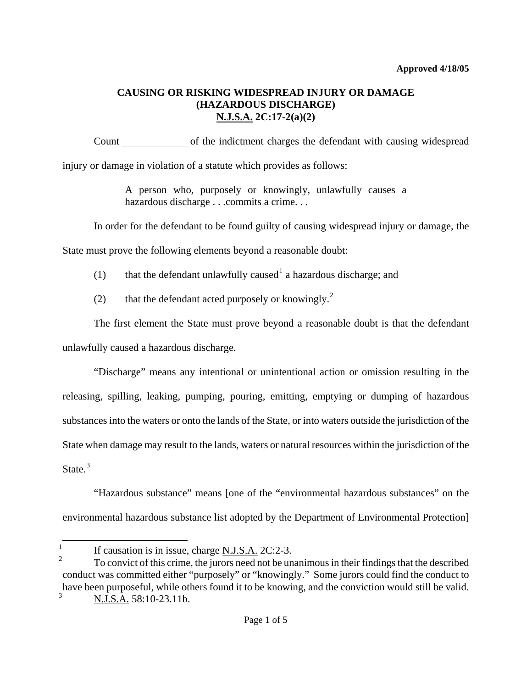Count of the indictment charges the defendant with causing widespread injury or damage in violation of a statute which provides as follows:

> A person who, purposely or knowingly, unlawfully causes a hazardous discharge . . .commits a crime. . .

In order for the defendant to be found guilty of causing widespread injury or damage, the

State must prove the following elements beyond a reasonable doubt:

- ([1](#page-0-0)) that the defendant unlawfully caused  $1$  a hazardous discharge; and
	- ([2](#page-0-1)) that the defendant acted purposely or knowingly.<sup>2</sup>

The first element the State must prove beyond a reasonable doubt is that the defendant unlawfully caused a hazardous discharge.

"Discharge" means any intentional or unintentional action or omission resulting in the releasing, spilling, leaking, pumping, pouring, emitting, emptying or dumping of hazardous substances into the waters or onto the lands of the State, or into waters outside the jurisdiction of the State when damage may result to the lands, waters or natural resources within the jurisdiction of the State. $3$ 

"Hazardous substance" means [one of the "environmental hazardous substances" on the environmental hazardous substance list adopted by the Department of Environmental Protection]

<span id="page-0-0"></span>i<br>L 1 If causation is in issue, charge N.J.S.A. 2C:2-3.

<span id="page-0-3"></span><span id="page-0-2"></span><span id="page-0-1"></span><sup>2</sup> To convict of this crime, the jurors need not be unanimous in their findings that the described conduct was committed either "purposely" or "knowingly." Some jurors could find the conduct to have been purposeful, while others found it to be knowing, and the conviction would still be valid. 3 N.J.S.A. 58:10-23.11b.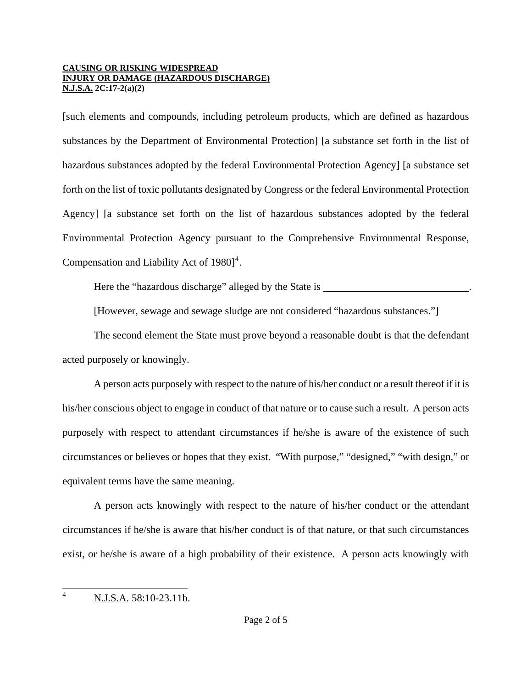[such elements and compounds, including petroleum products, which are defined as hazardous substances by the Department of Environmental Protection] [a substance set forth in the list of hazardous substances adopted by the federal Environmental Protection Agency] [a substance set forth on the list of toxic pollutants designated by Congress or the federal Environmental Protection Agency] [a substance set forth on the list of hazardous substances adopted by the federal Environmental Protection Agency pursuant to the Comprehensive Environmental Response, Compensation and Liability Act of  $1980$ <sup>[4](#page-0-3)</sup>.

Here the "hazardous discharge" alleged by the State is

[However, sewage and sewage sludge are not considered "hazardous substances."]

The second element the State must prove beyond a reasonable doubt is that the defendant acted purposely or knowingly.

A person acts purposely with respect to the nature of his/her conduct or a result thereof if it is his/her conscious object to engage in conduct of that nature or to cause such a result. A person acts purposely with respect to attendant circumstances if he/she is aware of the existence of such circumstances or believes or hopes that they exist. "With purpose," "designed," "with design," or equivalent terms have the same meaning.

A person acts knowingly with respect to the nature of his/her conduct or the attendant circumstances if he/she is aware that his/her conduct is of that nature, or that such circumstances exist, or he/she is aware of a high probability of their existence. A person acts knowingly with

<span id="page-1-0"></span> $\frac{1}{4}$ N.J.S.A. 58:10-23.11b.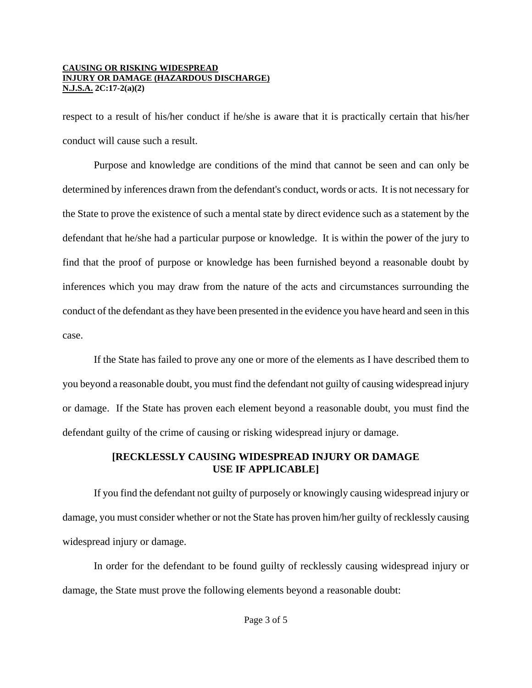respect to a result of his/her conduct if he/she is aware that it is practically certain that his/her conduct will cause such a result.

Purpose and knowledge are conditions of the mind that cannot be seen and can only be determined by inferences drawn from the defendant's conduct, words or acts. It is not necessary for the State to prove the existence of such a mental state by direct evidence such as a statement by the defendant that he/she had a particular purpose or knowledge. It is within the power of the jury to find that the proof of purpose or knowledge has been furnished beyond a reasonable doubt by inferences which you may draw from the nature of the acts and circumstances surrounding the conduct of the defendant as they have been presented in the evidence you have heard and seen in this case.

If the State has failed to prove any one or more of the elements as I have described them to you beyond a reasonable doubt, you must find the defendant not guilty of causing widespread injury or damage. If the State has proven each element beyond a reasonable doubt, you must find the defendant guilty of the crime of causing or risking widespread injury or damage.

# **[RECKLESSLY CAUSING WIDESPREAD INJURY OR DAMAGE USE IF APPLICABLE]**

If you find the defendant not guilty of purposely or knowingly causing widespread injury or damage, you must consider whether or not the State has proven him/her guilty of recklessly causing widespread injury or damage.

In order for the defendant to be found guilty of recklessly causing widespread injury or damage, the State must prove the following elements beyond a reasonable doubt: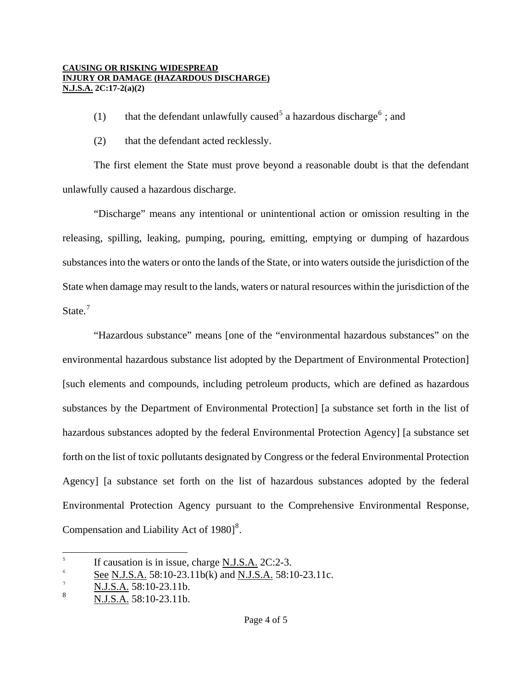- (1) that the defendant unlawfully caused<sup>[5](#page-1-0)</sup> a hazardous discharge<sup>[6](#page-3-0)</sup>; and
- (2) that the defendant acted recklessly.

The first element the State must prove beyond a reasonable doubt is that the defendant unlawfully caused a hazardous discharge.

"Discharge" means any intentional or unintentional action or omission resulting in the releasing, spilling, leaking, pumping, pouring, emitting, emptying or dumping of hazardous substances into the waters or onto the lands of the State, or into waters outside the jurisdiction of the State when damage may result to the lands, waters or natural resources within the jurisdiction of the State.<sup>[7](#page-3-1)</sup>

"Hazardous substance" means [one of the "environmental hazardous substances" on the environmental hazardous substance list adopted by the Department of Environmental Protection] [such elements and compounds, including petroleum products, which are defined as hazardous substances by the Department of Environmental Protection] [a substance set forth in the list of hazardous substances adopted by the federal Environmental Protection Agency] [a substance set forth on the list of toxic pollutants designated by Congress or the federal Environmental Protection Agency] [a substance set forth on the list of hazardous substances adopted by the federal Environmental Protection Agency pursuant to the Comprehensive Environmental Response, Compensation and Liability Act of  $1980$  $1980$  $1980$ <sup>8</sup>.

 5 If causation is in issue, charge N.J.S.A. 2C:2-3.

<span id="page-3-0"></span><sup>6</sup> See N.J.S.A. 58:10-23.11b(k) and N.J.S.A. 58:10-23.11c.

<span id="page-3-1"></span><sup>7</sup> N.J.S.A. 58:10-23.11b.

<span id="page-3-3"></span><span id="page-3-2"></span><sup>8</sup> N.J.S.A. 58:10-23.11b.